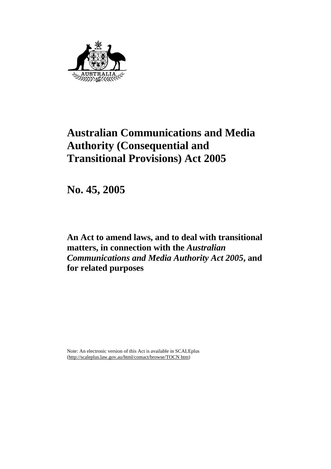

# **Australian Communications and Media Authority (Consequential and Transitional Provisions) Act 2005**

**No. 45, 2005** 

**An Act to amend laws, and to deal with transitional matters, in connection with the** *Australian Communications and Media Authority Act 2005***, and for related purposes** 

Note: An electronic version of this Act is available in SCALEplus (http://scaleplus.law.gov.au/html/comact/browse/TOCN htm)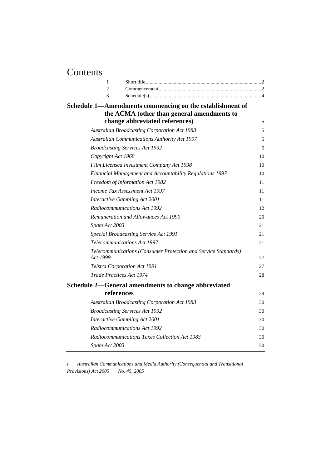# Contents

| 1                                                                          |    |
|----------------------------------------------------------------------------|----|
| $\overline{2}$                                                             |    |
| 3                                                                          |    |
| Schedule 1—Amendments commencing on the establishment of                   |    |
| the ACMA (other than general amendments to                                 |    |
| change abbreviated references)                                             | 5  |
| <b>Australian Broadcasting Corporation Act 1983</b>                        | 5  |
| <b>Australian Communications Authority Act 1997</b>                        | 5  |
| <b>Broadcasting Services Act 1992</b>                                      | 5  |
| Copyright Act 1968                                                         | 10 |
| Film Licensed Investment Company Act 1998                                  | 10 |
| Financial Management and Accountability Regulations 1997                   | 10 |
| Freedom of Information Act 1982                                            | 11 |
| Income Tax Assessment Act 1997                                             | 11 |
| Interactive Gambling Act 2001                                              | 11 |
| Radiocommunications Act 1992                                               | 12 |
| Remuneration and Allowances Act 1990                                       | 20 |
| Spam Act 2003                                                              | 21 |
| Special Broadcasting Service Act 1991                                      | 21 |
| <b>Telecommunications Act 1997</b>                                         | 21 |
| Telecommunications (Consumer Protection and Service Standards)<br>Act 1999 | 27 |
| Telstra Corporation Act 1991                                               | 27 |
| <b>Trade Practices Act 1974</b>                                            | 28 |
| Schedule 2—General amendments to change abbreviated                        |    |
| references                                                                 | 29 |
| <b>Australian Broadcasting Corporation Act 1983</b>                        | 30 |
| <b>Broadcasting Services Act 1992</b>                                      | 30 |
| Interactive Gambling Act 2001                                              | 30 |
| Radiocommunications Act 1992                                               | 30 |
| Radiocommunications Taxes Collection Act 1983                              | 30 |
| Spam Act 2003                                                              | 30 |
|                                                                            |    |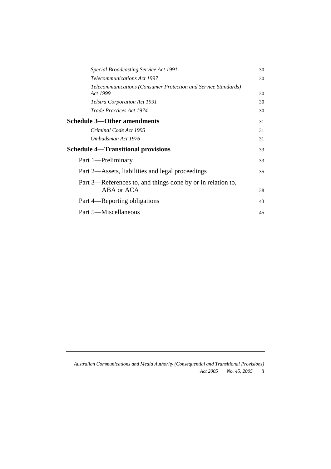| Special Broadcasting Service Act 1991                                      | 30 |
|----------------------------------------------------------------------------|----|
| <b>Telecommunications Act 1997</b>                                         | 30 |
| Telecommunications (Consumer Protection and Service Standards)<br>Act 1999 | 30 |
| <b>Telstra Corporation Act 1991</b>                                        | 30 |
| Trade Practices Act 1974                                                   | 30 |
| <b>Schedule 3—Other amendments</b>                                         | 31 |
| Criminal Code Act 1995                                                     | 31 |
| Ombudsman Act 1976                                                         | 31 |
| <b>Schedule 4—Transitional provisions</b>                                  | 33 |
| Part 1—Preliminary                                                         | 33 |
| Part 2—Assets, liabilities and legal proceedings                           | 35 |
| Part 3—References to, and things done by or in relation to,                |    |
| ABA or ACA                                                                 | 38 |
| Part 4—Reporting obligations                                               | 43 |
| Part 5—Miscellaneous                                                       | 45 |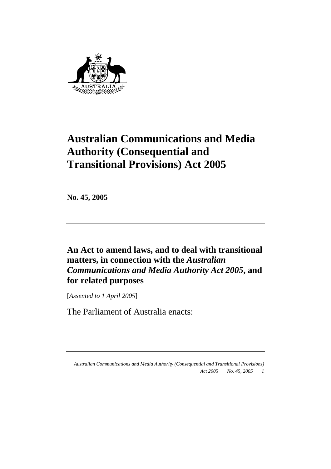

# **Australian Communications and Media Authority (Consequential and Transitional Provisions) Act 2005**

**No. 45, 2005** 

**An Act to amend laws, and to deal with transitional matters, in connection with the** *Australian Communications and Media Authority Act 2005***, and for related purposes** 

[*Assented to 1 April 2005*]

The Parliament of Australia enacts: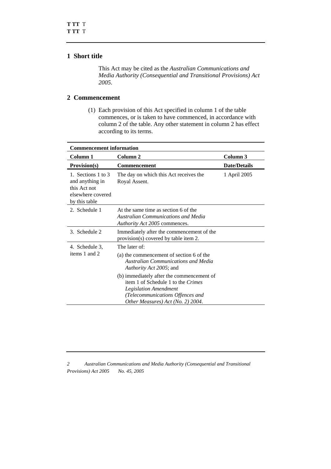### **1 Short title**

 This Act may be cited as the *Australian Communications and Media Authority (Consequential and Transitional Provisions) Act 2005*.

## **2 Commencement**

 (1) Each provision of this Act specified in column 1 of the table commences, or is taken to have commenced, in accordance with column 2 of the table. Any other statement in column 2 has effect according to its terms.

| <b>Commencement information</b>                                                             |                                                                                                                                                                                   |                     |  |
|---------------------------------------------------------------------------------------------|-----------------------------------------------------------------------------------------------------------------------------------------------------------------------------------|---------------------|--|
| Column 1                                                                                    | Column 2                                                                                                                                                                          | Column 3            |  |
| <b>Provision(s)</b>                                                                         | Commencement                                                                                                                                                                      | <b>Date/Details</b> |  |
| 1. Sections 1 to 3<br>and anything in<br>this Act not<br>elsewhere covered<br>by this table | The day on which this Act receives the<br>Royal Assent.                                                                                                                           | 1 April 2005        |  |
| 2. Schedule 1                                                                               | At the same time as section 6 of the<br>Australian Communications and Media<br>Authority Act 2005 commences.                                                                      |                     |  |
| 3. Schedule 2                                                                               | Immediately after the commencement of the<br>provision(s) covered by table item 2.                                                                                                |                     |  |
| 4. Schedule 3,                                                                              | The later of:                                                                                                                                                                     |                     |  |
| items 1 and 2                                                                               | (a) the commencement of section 6 of the<br><b>Australian Communications and Media</b><br>Authority Act 2005; and                                                                 |                     |  |
|                                                                                             | (b) immediately after the commencement of<br>item 1 of Schedule 1 to the Crimes<br>Legislation Amendment<br>(Telecommunications Offences and<br>Other Measures) Act (No. 2) 2004. |                     |  |

*<sup>2</sup> Australian Communications and Media Authority (Consequential and Transitional Provisions) Act 2005 No. 45, 2005*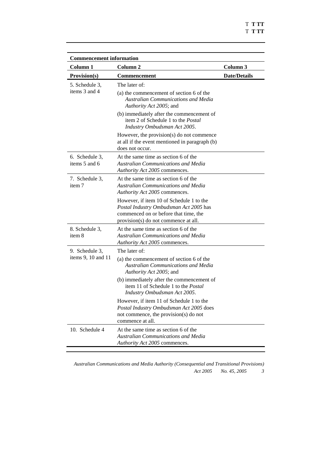T **T TT** T **T TT** 

| <b>Commencement information</b> |                                                                                                                                                                     |                     |  |
|---------------------------------|---------------------------------------------------------------------------------------------------------------------------------------------------------------------|---------------------|--|
| Column <sub>1</sub>             | Column <sub>2</sub>                                                                                                                                                 | Column 3            |  |
| <b>Provision(s)</b>             | <b>Commencement</b>                                                                                                                                                 | <b>Date/Details</b> |  |
| 5. Schedule 3,                  | The later of:                                                                                                                                                       |                     |  |
| items 3 and 4                   | (a) the commencement of section 6 of the<br><b>Australian Communications and Media</b><br>Authority Act 2005; and                                                   |                     |  |
|                                 | (b) immediately after the commencement of<br>item 2 of Schedule 1 to the <i>Postal</i><br>Industry Ombudsman Act 2005.                                              |                     |  |
|                                 | However, the provision(s) do not commence<br>at all if the event mentioned in paragraph (b)<br>does not occur.                                                      |                     |  |
| 6. Schedule 3,<br>items 5 and 6 | At the same time as section 6 of the<br><b>Australian Communications and Media</b><br>Authority Act 2005 commences.                                                 |                     |  |
| 7. Schedule 3,<br>item 7        | At the same time as section 6 of the<br><b>Australian Communications and Media</b><br>Authority Act 2005 commences.                                                 |                     |  |
|                                 | However, if item 10 of Schedule 1 to the<br>Postal Industry Ombudsman Act 2005 has<br>commenced on or before that time, the<br>provision(s) do not commence at all. |                     |  |
| 8. Schedule 3,<br>item 8        | At the same time as section 6 of the<br><b>Australian Communications and Media</b><br>Authority Act 2005 commences.                                                 |                     |  |
| 9. Schedule 3,                  | The later of:                                                                                                                                                       |                     |  |
| items 9, 10 and 11              | (a) the commencement of section 6 of the<br><b>Australian Communications and Media</b><br>Authority Act 2005; and                                                   |                     |  |
|                                 | (b) immediately after the commencement of<br>item 11 of Schedule 1 to the Postal<br>Industry Ombudsman Act 2005.                                                    |                     |  |
|                                 | However, if item 11 of Schedule 1 to the<br>Postal Industry Ombudsman Act 2005 does<br>not commence, the provision(s) do not<br>commence at all.                    |                     |  |
| 10. Schedule 4                  | At the same time as section 6 of the<br><b>Australian Communications and Media</b><br>Authority Act 2005 commences.                                                 |                     |  |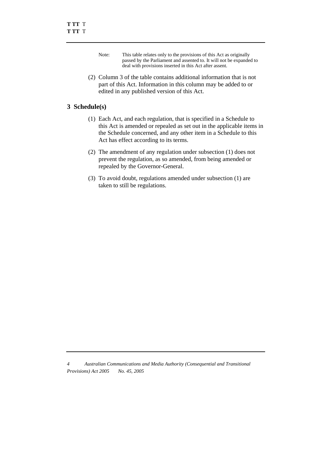- Note: This table relates only to the provisions of this Act as originally passed by the Parliament and assented to. It will not be expanded to deal with provisions inserted in this Act after assent.
- (2) Column 3 of the table contains additional information that is not part of this Act. Information in this column may be added to or edited in any published version of this Act.

### **3 Schedule(s)**

- (1) Each Act, and each regulation, that is specified in a Schedule to this Act is amended or repealed as set out in the applicable items in the Schedule concerned, and any other item in a Schedule to this Act has effect according to its terms.
- (2) The amendment of any regulation under subsection (1) does not prevent the regulation, as so amended, from being amended or repealed by the Governor-General.
- (3) To avoid doubt, regulations amended under subsection (1) are taken to still be regulations.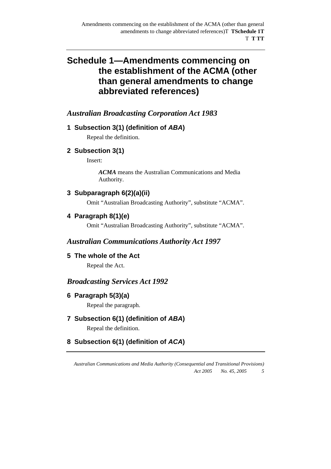## *Australian Broadcasting Corporation Act 1983*

## **1 Subsection 3(1) (definition of** *ABA***)**

Repeal the definition.

## **2 Subsection 3(1)**

Insert:

*ACMA* means the Australian Communications and Media Authority.

## **3 Subparagraph 6(2)(a)(ii)**

Omit "Australian Broadcasting Authority", substitute "ACMA".

## **4 Paragraph 8(1)(e)**

Omit "Australian Broadcasting Authority", substitute "ACMA".

## *Australian Communications Authority Act 1997*

**5 The whole of the Act** 

Repeal the Act.

## *Broadcasting Services Act 1992*

## **6 Paragraph 5(3)(a)**

Repeal the paragraph.

## **7 Subsection 6(1) (definition of** *ABA***)**

Repeal the definition.

## **8 Subsection 6(1) (definition of** *ACA***)**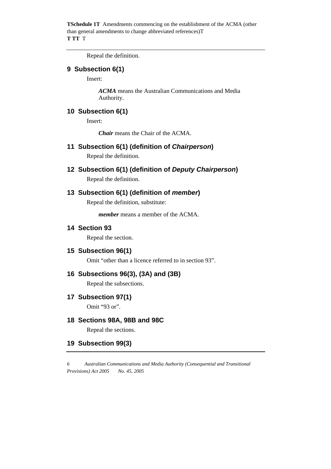Repeal the definition.

#### **9 Subsection 6(1)**

Insert:

*ACMA* means the Australian Communications and Media Authority.

### **10 Subsection 6(1)**

Insert:

*Chair* means the Chair of the ACMA.

**11 Subsection 6(1) (definition of** *Chairperson***)** 

Repeal the definition.

**12 Subsection 6(1) (definition of** *Deputy Chairperson***)** 

Repeal the definition.

## **13 Subsection 6(1) (definition of** *member***)**

Repeal the definition, substitute:

*member* means a member of the ACMA.

#### **14 Section 93**

Repeal the section.

#### **15 Subsection 96(1)**

Omit "other than a licence referred to in section 93".

## **16 Subsections 96(3), (3A) and (3B)**

Repeal the subsections.

**17 Subsection 97(1)** 

Omit "93 or".

#### **18 Sections 98A, 98B and 98C**

Repeal the sections.

#### **19 Subsection 99(3)**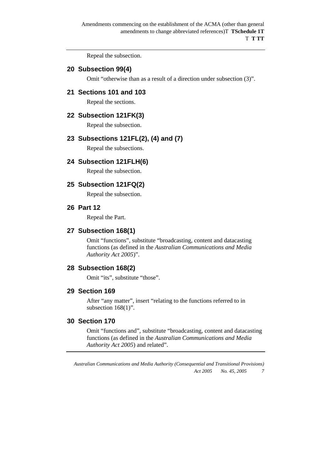Repeal the subsection.

## **20 Subsection 99(4)**

Omit "otherwise than as a result of a direction under subsection (3)".

## **21 Sections 101 and 103**

Repeal the sections.

#### **22 Subsection 121FK(3)**

Repeal the subsection.

## **23 Subsections 121FL(2), (4) and (7)**

Repeal the subsections.

#### **24 Subsection 121FLH(6)**

Repeal the subsection.

#### **25 Subsection 121FQ(2)**

Repeal the subsection.

#### **26 Part 12**

Repeal the Part.

#### **27 Subsection 168(1)**

Omit "functions", substitute "broadcasting, content and datacasting functions (as defined in the *Australian Communications and Media Authority Act 2005*)".

### **28 Subsection 168(2)**

Omit "its", substitute "those".

#### **29 Section 169**

After "any matter", insert "relating to the functions referred to in subsection  $168(1)$ ".

#### **30 Section 170**

Omit "functions and", substitute "broadcasting, content and datacasting functions (as defined in the *Australian Communications and Media Authority Act 2005*) and related".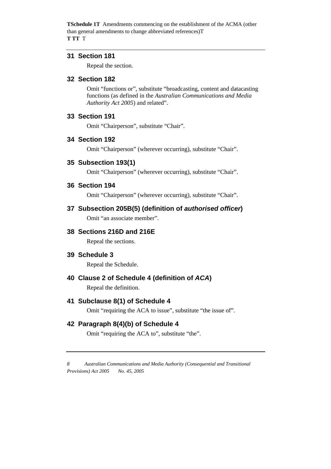#### **31 Section 181**

Repeal the section.

## **32 Section 182**

Omit "functions or", substitute "broadcasting, content and datacasting functions (as defined in the *Australian Communications and Media Authority Act 2005*) and related".

#### **33 Section 191**

Omit "Chairperson", substitute "Chair".

## **34 Section 192**

Omit "Chairperson" (wherever occurring), substitute "Chair".

## **35 Subsection 193(1)**

Omit "Chairperson" (wherever occurring), substitute "Chair".

#### **36 Section 194**

Omit "Chairperson" (wherever occurring), substitute "Chair".

## **37 Subsection 205B(5) (definition of** *authorised officer***)**

Omit "an associate member".

## **38 Sections 216D and 216E**

Repeal the sections.

#### **39 Schedule 3**

Repeal the Schedule.

## **40 Clause 2 of Schedule 4 (definition of** *ACA***)**

Repeal the definition.

#### **41 Subclause 8(1) of Schedule 4**

Omit "requiring the ACA to issue", substitute "the issue of".

## **42 Paragraph 8(4)(b) of Schedule 4**

Omit "requiring the ACA to", substitute "the".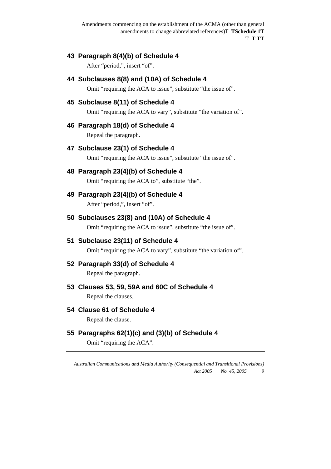## **43 Paragraph 8(4)(b) of Schedule 4**

After "period,", insert "of".

## **44 Subclauses 8(8) and (10A) of Schedule 4**

Omit "requiring the ACA to issue", substitute "the issue of".

## **45 Subclause 8(11) of Schedule 4**

Omit "requiring the ACA to vary", substitute "the variation of".

## **46 Paragraph 18(d) of Schedule 4**

Repeal the paragraph.

## **47 Subclause 23(1) of Schedule 4**

Omit "requiring the ACA to issue", substitute "the issue of".

## **48 Paragraph 23(4)(b) of Schedule 4**

Omit "requiring the ACA to", substitute "the".

## **49 Paragraph 23(4)(b) of Schedule 4**

After "period,", insert "of".

## **50 Subclauses 23(8) and (10A) of Schedule 4**

Omit "requiring the ACA to issue", substitute "the issue of".

#### **51 Subclause 23(11) of Schedule 4**

Omit "requiring the ACA to vary", substitute "the variation of".

## **52 Paragraph 33(d) of Schedule 4**

Repeal the paragraph.

#### **53 Clauses 53, 59, 59A and 60C of Schedule 4**

Repeal the clauses.

#### **54 Clause 61 of Schedule 4**

Repeal the clause.

## **55 Paragraphs 62(1)(c) and (3)(b) of Schedule 4**

Omit "requiring the ACA".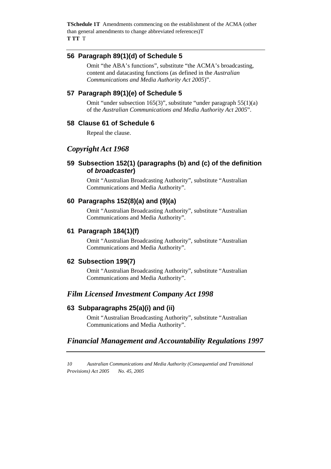#### **56 Paragraph 89(1)(d) of Schedule 5**

Omit "the ABA's functions", substitute "the ACMA's broadcasting, content and datacasting functions (as defined in the *Australian Communications and Media Authority Act 2005*)".

## **57 Paragraph 89(1)(e) of Schedule 5**

Omit "under subsection 165(3)", substitute "under paragraph 55(1)(a) of the *Australian Communications and Media Authority Act 2005*".

#### **58 Clause 61 of Schedule 6**

Repeal the clause.

## *Copyright Act 1968*

## **59 Subsection 152(1) (paragraphs (b) and (c) of the definition of** *broadcaster***)**

Omit "Australian Broadcasting Authority", substitute "Australian Communications and Media Authority".

## **60 Paragraphs 152(8)(a) and (9)(a)**

Omit "Australian Broadcasting Authority", substitute "Australian Communications and Media Authority".

#### **61 Paragraph 184(1)(f)**

Omit "Australian Broadcasting Authority", substitute "Australian Communications and Media Authority".

#### **62 Subsection 199(7)**

Omit "Australian Broadcasting Authority", substitute "Australian Communications and Media Authority".

## *Film Licensed Investment Company Act 1998*

## **63 Subparagraphs 25(a)(i) and (ii)**

Omit "Australian Broadcasting Authority", substitute "Australian Communications and Media Authority".

## *Financial Management and Accountability Regulations 1997*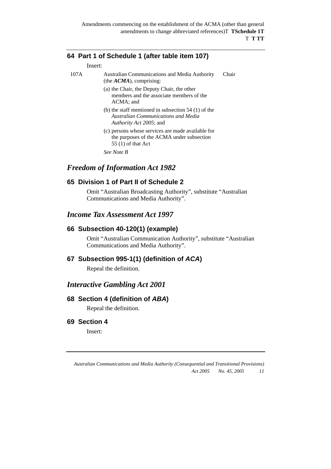## **64 Part 1 of Schedule 1 (after table item 107)**

Insert:

- 107A Australian Communications and Media Authority (the *ACMA*), comprising: Chair
	- (a) the Chair, the Deputy Chair, the other members and the associate members of the ACMA; and
	- (b) the staff mentioned in subsection 54 (1) of the *Australian Communications and Media Authority Act 2005*; and
	- (c) persons whose services are made available for the purposes of the ACMA under subsection 55 (1) of that Act

*See Note B* 

## *Freedom of Information Act 1982*

## **65 Division 1 of Part II of Schedule 2**

Omit "Australian Broadcasting Authority", substitute "Australian Communications and Media Authority".

## *Income Tax Assessment Act 1997*

#### **66 Subsection 40-120(1) (example)**

Omit "Australian Communication Authority", substitute "Australian Communications and Media Authority".

#### **67 Subsection 995-1(1) (definition of** *ACA***)**

Repeal the definition.

#### *Interactive Gambling Act 2001*

#### **68 Section 4 (definition of** *ABA***)**

Repeal the definition.

#### **69 Section 4**

Insert: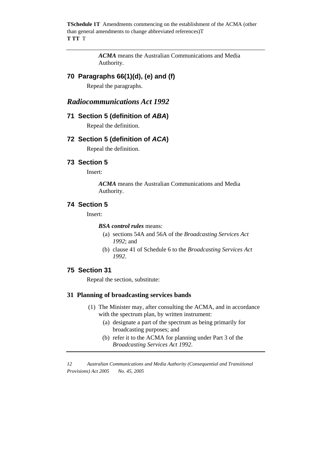> *ACMA* means the Australian Communications and Media Authority.

## **70 Paragraphs 66(1)(d), (e) and (f)**

Repeal the paragraphs.

## *Radiocommunications Act 1992*

#### **71 Section 5 (definition of** *ABA***)**

Repeal the definition.

#### **72 Section 5 (definition of** *ACA***)**

Repeal the definition.

#### **73 Section 5**

Insert:

*ACMA* means the Australian Communications and Media Authority.

## **74 Section 5**

Insert:

#### *BSA control rules* means:

- (a) sections 54A and 56A of the *Broadcasting Services Act 1992*; and
- (b) clause 41 of Schedule 6 to the *Broadcasting Services Act 1992*.

#### **75 Section 31**

Repeal the section, substitute:

#### **31 Planning of broadcasting services bands**

- (1) The Minister may, after consulting the ACMA, and in accordance with the spectrum plan, by written instrument:
	- (a) designate a part of the spectrum as being primarily for broadcasting purposes; and
	- (b) refer it to the ACMA for planning under Part 3 of the *Broadcasting Services Act 1992*.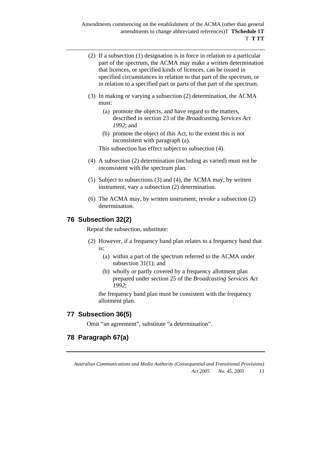- (2) If a subsection (1) designation is in force in relation to a particular part of the spectrum, the ACMA may make a written determination that licences, or specified kinds of licences, can be issued in specified circumstances in relation to that part of the spectrum, or in relation to a specified part or parts of that part of the spectrum.
- (3) In making or varying a subsection (2) determination, the ACMA must:
	- (a) promote the objects, and have regard to the matters, described in section 23 of the *Broadcasting Services Act 1992*; and
	- (b) promote the object of this Act, to the extent this is not inconsistent with paragraph (a).

This subsection has effect subject to subsection (4).

- (4) A subsection (2) determination (including as varied) must not be inconsistent with the spectrum plan.
- (5) Subject to subsections (3) and (4), the ACMA may, by written instrument, vary a subsection (2) determination.
- (6) The ACMA may, by written instrument, revoke a subsection (2) determination.

## **76 Subsection 32(2)**

Repeal the subsection, substitute:

- (2) However, if a frequency band plan relates to a frequency band that is:
	- (a) within a part of the spectrum referred to the ACMA under subsection 31(1); and
	- (b) wholly or partly covered by a frequency allotment plan prepared under section 25 of the *Broadcasting Services Act 1992*;

the frequency band plan must be consistent with the frequency allotment plan.

#### **77 Subsection 36(5)**

Omit "an agreement", substitute "a determination".

## **78 Paragraph 67(a)**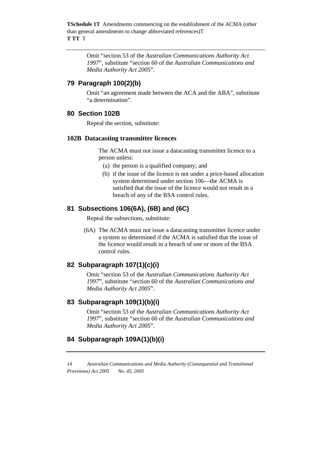> Omit "section 53 of the *Australian Communications Authority Act 1997*", substitute "section 60 of the *Australian Communications and Media Authority Act 2005*".

## **79 Paragraph 100(2)(b)**

Omit "an agreement made between the ACA and the ABA", substitute "a determination".

#### **80 Section 102B**

Repeal the section, substitute:

#### **102B Datacasting transmitter licences**

 The ACMA must not issue a datacasting transmitter licence to a person unless:

- (a) the person is a qualified company; and
- (b) if the issue of the licence is not under a price-based allocation system determined under section 106—the ACMA is satisfied that the issue of the licence would not result in a breach of any of the BSA control rules.

## **81 Subsections 106(6A), (6B) and (6C)**

Repeal the subsections, substitute:

 (6A) The ACMA must not issue a datacasting transmitter licence under a system so determined if the ACMA is satisfied that the issue of the licence would result in a breach of one or more of the BSA control rules.

## **82 Subparagraph 107(1)(c)(i)**

Omit "section 53 of the *Australian Communications Authority Act 1997*", substitute "section 60 of the *Australian Communications and Media Authority Act 2005*".

#### **83 Subparagraph 109(1)(b)(i)**

Omit "section 53 of the *Australian Communications Authority Act 1997*", substitute "section 60 of the *Australian Communications and Media Authority Act 2005*".

## **84 Subparagraph 109A(1)(b)(i)**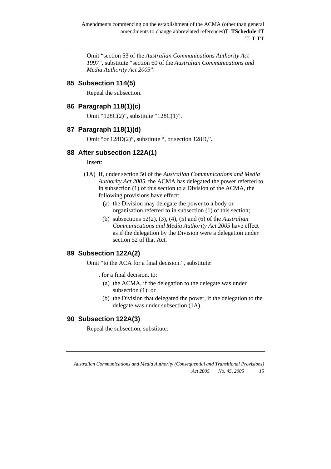Omit "section 53 of the *Australian Communications Authority Act 1997*", substitute "section 60 of the *Australian Communications and Media Authority Act 2005*".

#### **85 Subsection 114(5)**

Repeal the subsection.

#### **86 Paragraph 118(1)(c)**

Omit "128C(2)", substitute "128C(1)".

#### **87 Paragraph 118(1)(d)**

Omit "or 128D(2)", substitute ", or section 128D,".

#### **88 After subsection 122A(1)**

Insert:

- (1A) If, under section 50 of the *Australian Communications and Media Authority Act 2005*, the ACMA has delegated the power referred to in subsection (1) of this section to a Division of the ACMA, the following provisions have effect:
	- (a) the Division may delegate the power to a body or organisation referred to in subsection (1) of this section;
	- (b) subsections 52(2), (3), (4), (5) and (6) of the *Australian Communications and Media Authority Act 2005* have effect as if the delegation by the Division were a delegation under section 52 of that Act.

## **89 Subsection 122A(2)**

Omit "to the ACA for a final decision.", substitute:

- , for a final decision, to:
	- (a) the ACMA, if the delegation to the delegate was under subsection (1); or
	- (b) the Division that delegated the power, if the delegation to the delegate was under subsection (1A).

#### **90 Subsection 122A(3)**

Repeal the subsection, substitute: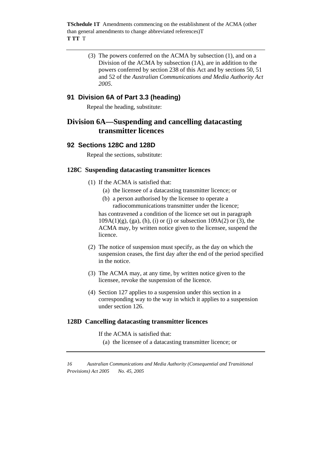> (3) The powers conferred on the ACMA by subsection (1), and on a Division of the ACMA by subsection (1A), are in addition to the powers conferred by section 238 of this Act and by sections 50, 51 and 52 of the *Australian Communications and Media Authority Act 2005*.

## **91 Division 6A of Part 3.3 (heading)**

Repeal the heading, substitute:

## **Division 6A—Suspending and cancelling datacasting transmitter licences**

#### **92 Sections 128C and 128D**

Repeal the sections, substitute:

#### **128C Suspending datacasting transmitter licences**

- (1) If the ACMA is satisfied that:
	- (a) the licensee of a datacasting transmitter licence; or
	- (b) a person authorised by the licensee to operate a radiocommunications transmitter under the licence;

has contravened a condition of the licence set out in paragraph  $109A(1)(g)$ , (ga), (h), (i) or (j) or subsection  $109A(2)$  or (3), the ACMA may, by written notice given to the licensee, suspend the licence.

- (2) The notice of suspension must specify, as the day on which the suspension ceases, the first day after the end of the period specified in the notice.
- (3) The ACMA may, at any time, by written notice given to the licensee, revoke the suspension of the licence.
- (4) Section 127 applies to a suspension under this section in a corresponding way to the way in which it applies to a suspension under section 126.

#### **128D Cancelling datacasting transmitter licences**

If the ACMA is satisfied that:

(a) the licensee of a datacasting transmitter licence; or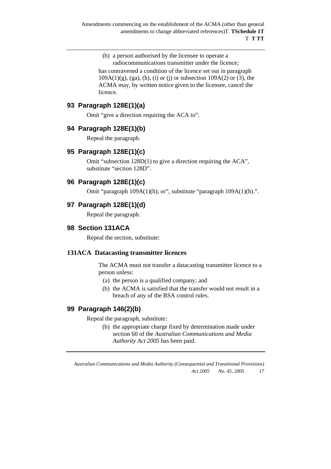#### (b) a person authorised by the licensee to operate a radiocommunications transmitter under the licence;

has contravened a condition of the licence set out in paragraph  $109A(1)(g)$ , (ga), (h), (i) or (j) or subsection  $109A(2)$  or (3), the ACMA may, by written notice given to the licensee, cancel the licence.

## **93 Paragraph 128E(1)(a)**

Omit "give a direction requiring the ACA to".

## **94 Paragraph 128E(1)(b)**

Repeal the paragraph.

## **95 Paragraph 128E(1)(c)**

Omit "subsection 128D(1) to give a direction requiring the ACA", substitute "section 128D".

## **96 Paragraph 128E(1)(c)**

Omit "paragraph 109A(1)(h); or", substitute "paragraph 109A(1)(h).".

## **97 Paragraph 128E(1)(d)**

Repeal the paragraph.

## **98 Section 131ACA**

Repeal the section, substitute:

#### **131ACA Datacasting transmitter licences**

 The ACMA must not transfer a datacasting transmitter licence to a person unless:

- (a) the person is a qualified company; and
- (b) the ACMA is satisfied that the transfer would not result in a breach of any of the BSA control rules.

## **99 Paragraph 146(2)(b)**

Repeal the paragraph, substitute:

(b) the appropriate charge fixed by determination made under section 60 of the *Australian Communications and Media Authority Act 2005* has been paid.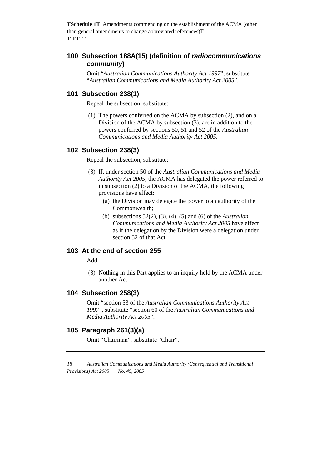### **100 Subsection 188A(15) (definition of** *radiocommunications community***)**

Omit "*Australian Communications Authority Act 1997*", substitute "*Australian Communications and Media Authority Act 2005*".

#### **101 Subsection 238(1)**

Repeal the subsection, substitute:

 (1) The powers conferred on the ACMA by subsection (2), and on a Division of the ACMA by subsection (3), are in addition to the powers conferred by sections 50, 51 and 52 of the *Australian Communications and Media Authority Act 2005*.

#### **102 Subsection 238(3)**

Repeal the subsection, substitute:

- (3) If, under section 50 of the *Australian Communications and Media Authority Act 2005*, the ACMA has delegated the power referred to in subsection (2) to a Division of the ACMA, the following provisions have effect:
	- (a) the Division may delegate the power to an authority of the Commonwealth;
	- (b) subsections 52(2), (3), (4), (5) and (6) of the *Australian Communications and Media Authority Act 2005* have effect as if the delegation by the Division were a delegation under section 52 of that Act.

#### **103 At the end of section 255**

Add:

 (3) Nothing in this Part applies to an inquiry held by the ACMA under another Act.

#### **104 Subsection 258(3)**

Omit "section 53 of the *Australian Communications Authority Act 1997*", substitute "section 60 of the *Australian Communications and Media Authority Act 2005*".

#### **105 Paragraph 261(3)(a)**

Omit "Chairman", substitute "Chair".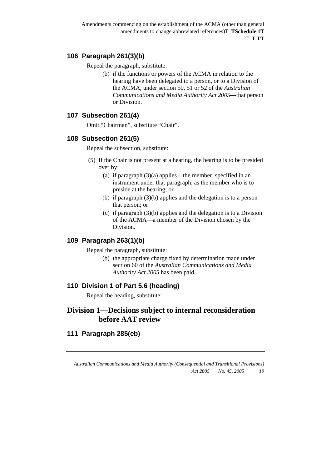## **106 Paragraph 261(3)(b)**

Repeal the paragraph, substitute:

(b) if the functions or powers of the ACMA in relation to the hearing have been delegated to a person, or to a Division of the ACMA, under section 50, 51 or 52 of the *Australian Communications and Media Authority Act 2005*—that person or Division.

## **107 Subsection 261(4)**

Omit "Chairman", substitute "Chair".

## **108 Subsection 261(5)**

Repeal the subsection, substitute:

- (5) If the Chair is not present at a hearing, the hearing is to be presided over by:
	- (a) if paragraph (3)(a) applies—the member, specified in an instrument under that paragraph, as the member who is to preside at the hearing; or
	- (b) if paragraph (3)(b) applies and the delegation is to a person that person; or
	- (c) if paragraph (3)(b) applies and the delegation is to a Division of the ACMA—a member of the Division chosen by the Division.

## **109 Paragraph 263(1)(b)**

Repeal the paragraph, substitute:

(b) the appropriate charge fixed by determination made under section 60 of the *Australian Communications and Media Authority Act 2005* has been paid.

## **110 Division 1 of Part 5.6 (heading)**

Repeal the heading, substitute:

## **Division 1—Decisions subject to internal reconsideration before AAT review**

## **111 Paragraph 285(eb)**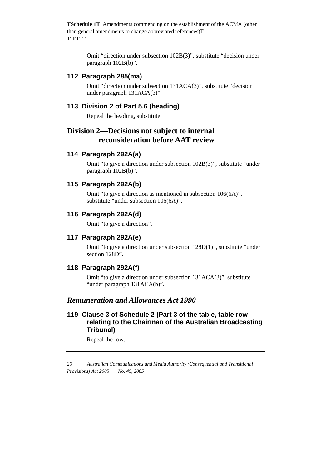> Omit "direction under subsection 102B(3)", substitute "decision under paragraph 102B(b)".

#### **112 Paragraph 285(ma)**

Omit "direction under subsection 131ACA(3)", substitute "decision under paragraph 131ACA(b)".

#### **113 Division 2 of Part 5.6 (heading)**

Repeal the heading, substitute:

## **Division 2—Decisions not subject to internal reconsideration before AAT review**

#### **114 Paragraph 292A(a)**

Omit "to give a direction under subsection 102B(3)", substitute "under paragraph 102B(b)".

#### **115 Paragraph 292A(b)**

Omit "to give a direction as mentioned in subsection 106(6A)", substitute "under subsection 106(6A)".

#### **116 Paragraph 292A(d)**

Omit "to give a direction".

#### **117 Paragraph 292A(e)**

Omit "to give a direction under subsection 128D(1)", substitute "under section 128D".

#### **118 Paragraph 292A(f)**

Omit "to give a direction under subsection 131ACA(3)", substitute "under paragraph 131ACA(b)".

## *Remuneration and Allowances Act 1990*

## **119 Clause 3 of Schedule 2 (Part 3 of the table, table row relating to the Chairman of the Australian Broadcasting Tribunal)**

Repeal the row.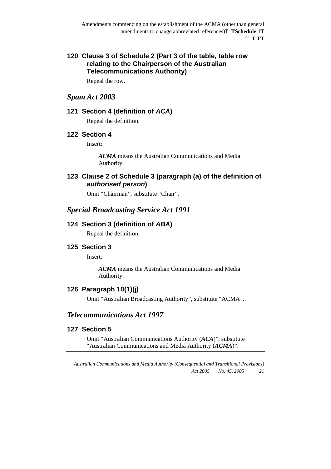## **120 Clause 3 of Schedule 2 (Part 3 of the table, table row relating to the Chairperson of the Australian Telecommunications Authority)**

Repeal the row.

## *Spam Act 2003*

#### **121 Section 4 (definition of** *ACA***)**

Repeal the definition.

#### **122 Section 4**

Insert:

*ACMA* means the Australian Communications and Media Authority.

## **123 Clause 2 of Schedule 3 (paragraph (a) of the definition of**  *authorised person***)**

Omit "Chairman", substitute "Chair".

## *Special Broadcasting Service Act 1991*

#### **124 Section 3 (definition of** *ABA***)**

Repeal the definition.

#### **125 Section 3**

Insert:

*ACMA* means the Australian Communications and Media Authority.

## **126 Paragraph 10(1)(j)**

Omit "Australian Broadcasting Authority", substitute "ACMA".

## *Telecommunications Act 1997*

#### **127 Section 5**

Omit "Australian Communications Authority (*ACA*)", substitute "Australian Communications and Media Authority (*ACMA*)".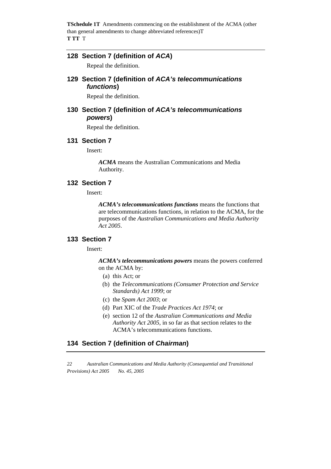#### **128 Section 7 (definition of** *ACA***)**

Repeal the definition.

## **129 Section 7 (definition of** *ACA's telecommunications functions***)**

Repeal the definition.

## **130 Section 7 (definition of** *ACA's telecommunications powers***)**

Repeal the definition.

#### **131 Section 7**

Insert:

*ACMA* means the Australian Communications and Media Authority.

#### **132 Section 7**

Insert:

*ACMA's telecommunications functions* means the functions that are telecommunications functions, in relation to the ACMA, for the purposes of the *Australian Communications and Media Authority Act 2005*.

#### **133 Section 7**

Insert:

*ACMA's telecommunications powers* means the powers conferred on the ACMA by:

- (a) this Act; or
- (b) the *Telecommunications (Consumer Protection and Service Standards) Act 1999*; or
- (c) the *Spam Act 2003*; or
- (d) Part XIC of the *Trade Practices Act 1974*; or
- (e) section 12 of the *Australian Communications and Media Authority Act 2005*, in so far as that section relates to the ACMA's telecommunications functions.

## **134 Section 7 (definition of** *Chairman***)**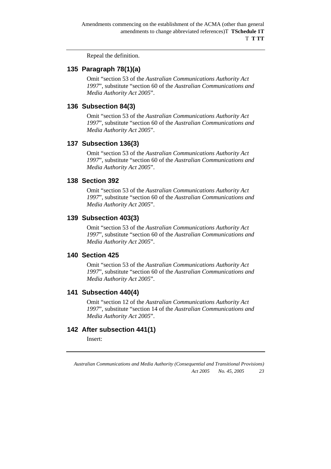Repeal the definition.

## **135 Paragraph 78(1)(a)**

Omit "section 53 of the *Australian Communications Authority Act 1997*", substitute "section 60 of the *Australian Communications and Media Authority Act 2005*".

## **136 Subsection 84(3)**

Omit "section 53 of the *Australian Communications Authority Act 1997*", substitute "section 60 of the *Australian Communications and Media Authority Act 2005*".

## **137 Subsection 136(3)**

Omit "section 53 of the *Australian Communications Authority Act 1997*", substitute "section 60 of the *Australian Communications and Media Authority Act 2005*".

#### **138 Section 392**

Omit "section 53 of the *Australian Communications Authority Act 1997*", substitute "section 60 of the *Australian Communications and Media Authority Act 2005*".

## **139 Subsection 403(3)**

Omit "section 53 of the *Australian Communications Authority Act 1997*", substitute "section 60 of the *Australian Communications and Media Authority Act 2005*".

#### **140 Section 425**

Omit "section 53 of the *Australian Communications Authority Act 1997*", substitute "section 60 of the *Australian Communications and Media Authority Act 2005*".

#### **141 Subsection 440(4)**

Omit "section 12 of the *Australian Communications Authority Act 1997*", substitute "section 14 of the *Australian Communications and Media Authority Act 2005*".

## **142 After subsection 441(1)**

Insert: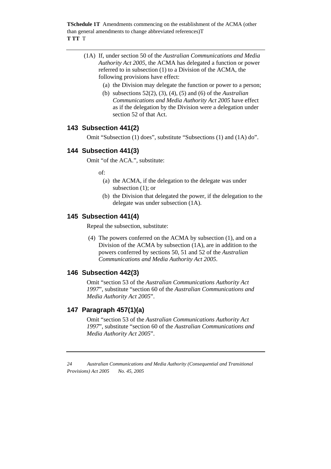- (1A) If, under section 50 of the *Australian Communications and Media Authority Act 2005*, the ACMA has delegated a function or power referred to in subsection (1) to a Division of the ACMA, the following provisions have effect:
	- (a) the Division may delegate the function or power to a person;
	- (b) subsections 52(2), (3), (4), (5) and (6) of the *Australian Communications and Media Authority Act 2005* have effect as if the delegation by the Division were a delegation under section 52 of that Act.

## **143 Subsection 441(2)**

Omit "Subsection (1) does", substitute "Subsections (1) and (1A) do".

## **144 Subsection 441(3)**

Omit "of the ACA.", substitute:

of:

- (a) the ACMA, if the delegation to the delegate was under subsection (1); or
- (b) the Division that delegated the power, if the delegation to the delegate was under subsection (1A).

## **145 Subsection 441(4)**

Repeal the subsection, substitute:

 (4) The powers conferred on the ACMA by subsection (1), and on a Division of the ACMA by subsection (1A), are in addition to the powers conferred by sections 50, 51 and 52 of the *Australian Communications and Media Authority Act 2005*.

## **146 Subsection 442(3)**

Omit "section 53 of the *Australian Communications Authority Act 1997*", substitute "section 60 of the *Australian Communications and Media Authority Act 2005*".

#### **147 Paragraph 457(1)(a)**

Omit "section 53 of the *Australian Communications Authority Act 1997*", substitute "section 60 of the *Australian Communications and Media Authority Act 2005*".

*<sup>24</sup> Australian Communications and Media Authority (Consequential and Transitional Provisions) Act 2005 No. 45, 2005*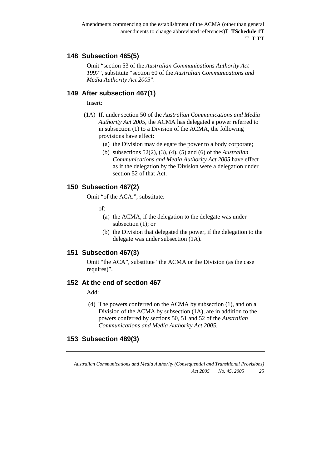## **148 Subsection 465(5)**

Omit "section 53 of the *Australian Communications Authority Act 1997*", substitute "section 60 of the *Australian Communications and Media Authority Act 2005*".

## **149 After subsection 467(1)**

Insert:

- (1A) If, under section 50 of the *Australian Communications and Media Authority Act 2005*, the ACMA has delegated a power referred to in subsection (1) to a Division of the ACMA, the following provisions have effect:
	- (a) the Division may delegate the power to a body corporate;
	- (b) subsections 52(2), (3), (4), (5) and (6) of the *Australian Communications and Media Authority Act 2005* have effect as if the delegation by the Division were a delegation under section 52 of that Act.

## **150 Subsection 467(2)**

Omit "of the ACA.", substitute:

 $\alpha$ f

- (a) the ACMA, if the delegation to the delegate was under subsection (1); or
- (b) the Division that delegated the power, if the delegation to the delegate was under subsection (1A).

#### **151 Subsection 467(3)**

Omit "the ACA", substitute "the ACMA or the Division (as the case requires)".

#### **152 At the end of section 467**

Add:

 (4) The powers conferred on the ACMA by subsection (1), and on a Division of the ACMA by subsection (1A), are in addition to the powers conferred by sections 50, 51 and 52 of the *Australian Communications and Media Authority Act 2005*.

#### **153 Subsection 489(3)**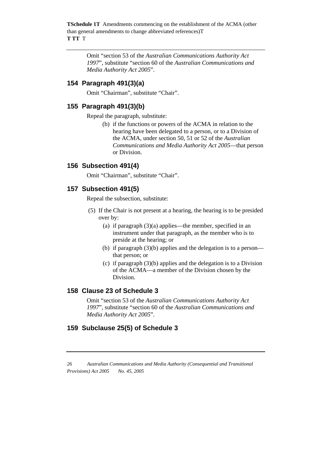> Omit "section 53 of the *Australian Communications Authority Act 1997*", substitute "section 60 of the *Australian Communications and Media Authority Act 2005*".

## **154 Paragraph 491(3)(a)**

Omit "Chairman", substitute "Chair".

## **155 Paragraph 491(3)(b)**

Repeal the paragraph, substitute:

(b) if the functions or powers of the ACMA in relation to the hearing have been delegated to a person, or to a Division of the ACMA, under section 50, 51 or 52 of the *Australian Communications and Media Authority Act 2005*—that person or Division.

#### **156 Subsection 491(4)**

Omit "Chairman", substitute "Chair".

#### **157 Subsection 491(5)**

Repeal the subsection, substitute:

- (5) If the Chair is not present at a hearing, the hearing is to be presided over by:
	- (a) if paragraph (3)(a) applies—the member, specified in an instrument under that paragraph, as the member who is to preside at the hearing; or
	- (b) if paragraph (3)(b) applies and the delegation is to a person that person; or
	- (c) if paragraph (3)(b) applies and the delegation is to a Division of the ACMA—a member of the Division chosen by the Division.

#### **158 Clause 23 of Schedule 3**

Omit "section 53 of the *Australian Communications Authority Act 1997*", substitute "section 60 of the *Australian Communications and Media Authority Act 2005*".

#### **159 Subclause 25(5) of Schedule 3**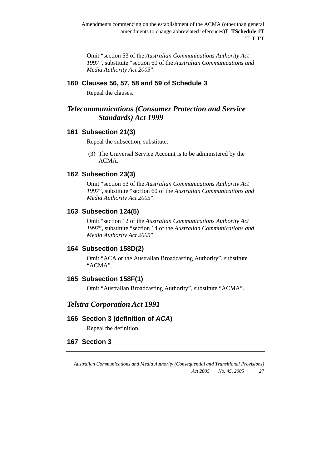Omit "section 53 of the *Australian Communications Authority Act 1997*", substitute "section 60 of the *Australian Communications and Media Authority Act 2005*".

#### **160 Clauses 56, 57, 58 and 59 of Schedule 3**

Repeal the clauses.

## *Telecommunications (Consumer Protection and Service Standards) Act 1999*

#### **161 Subsection 21(3)**

Repeal the subsection, substitute:

 (3) The Universal Service Account is to be administered by the ACMA.

## **162 Subsection 23(3)**

Omit "section 53 of the *Australian Communications Authority Act 1997*", substitute "section 60 of the *Australian Communications and Media Authority Act 2005*".

#### **163 Subsection 124(5)**

Omit "section 12 of the *Australian Communications Authority Act 1997*", substitute "section 14 of the *Australian Communications and Media Authority Act 2005*".

#### **164 Subsection 158D(2)**

Omit "ACA or the Australian Broadcasting Authority", substitute "ACMA".

#### **165 Subsection 158F(1)**

Omit "Australian Broadcasting Authority", substitute "ACMA".

## *Telstra Corporation Act 1991*

#### **166 Section 3 (definition of** *ACA***)**

Repeal the definition.

## **167 Section 3**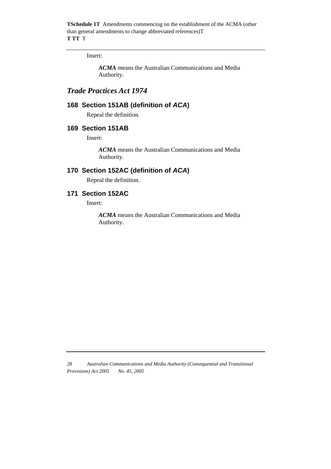#### Insert:

*ACMA* means the Australian Communications and Media Authority.

## *Trade Practices Act 1974*

### **168 Section 151AB (definition of** *ACA***)**

Repeal the definition.

#### **169 Section 151AB**

Insert:

*ACMA* means the Australian Communications and Media Authority.

## **170 Section 152AC (definition of** *ACA***)**

Repeal the definition.

## **171 Section 152AC**

Insert:

*ACMA* means the Australian Communications and Media Authority.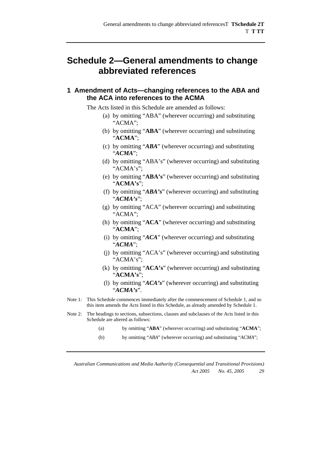## **Schedule 2—General amendments to change abbreviated references**

#### **1 Amendment of Acts—changing references to the ABA and the ACA into references to the ACMA**

The Acts listed in this Schedule are amended as follows:

- (a) by omitting "ABA" (wherever occurring) and substituting "ACMA";
- (b) by omitting "**ABA**" (wherever occurring) and substituting "**ACMA**";
- (c) by omitting "*ABA*" (wherever occurring) and substituting "*ACMA*";
- (d) by omitting "ABA's" (wherever occurring) and substituting "ACMA's";
- (e) by omitting "**ABA's**" (wherever occurring) and substituting "**ACMA's**";
- (f) by omitting "*ABA's*" (wherever occurring) and substituting "*ACMA's*";
- (g) by omitting "ACA" (wherever occurring) and substituting "ACMA";
- (h) by omitting "**ACA**" (wherever occurring) and substituting "**ACMA**";
- (i) by omitting "*ACA*" (wherever occurring) and substituting "*ACMA*";
- (j) by omitting "ACA's" (wherever occurring) and substituting "ACMA's";
- (k) by omitting "**ACA's**" (wherever occurring) and substituting "**ACMA's**";
- (l) by omitting "*ACA's*" (wherever occurring) and substituting "*ACMA's*".
- Note 1: This Schedule commences immediately after the commencement of Schedule 1, and so this item amends the Acts listed in this Schedule, as already amended by Schedule 1.
- Note 2: The headings to sections, subsections, clauses and subclauses of the Acts listed in this Schedule are altered as follows:
	- (a) by omitting "**ABA**" (wherever occurring) and substituting "**ACMA**";
	- (b) by omitting "*ABA*" (wherever occurring) and substituting "*ACMA*";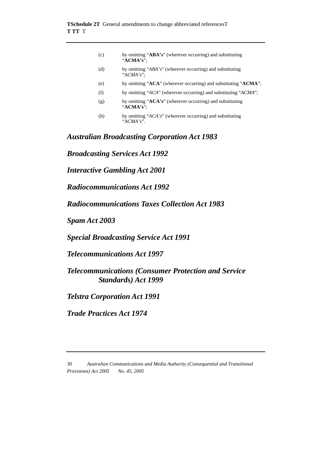| (c) | by omitting "ABA's" (wherever occurring) and substituting<br>" $ACMA's$ ": |
|-----|----------------------------------------------------------------------------|
| (d) | by omitting "ABA's" (wherever occurring) and substituting<br>" $ACMA's$ ": |
| (e) | by omitting "ACA" (wherever occurring) and substituting "ACMA";            |
| (f) | by omitting "ACA" (wherever occurring) and substituting "ACMA";            |
| (g) | by omitting "ACA's" (wherever occurring) and substituting<br>" $ACMA's$ ": |
| (h) | by omitting "ACA's" (wherever occurring) and substituting<br>"ACMA's".     |

*Australian Broadcasting Corporation Act 1983* 

*Broadcasting Services Act 1992* 

*Interactive Gambling Act 2001* 

*Radiocommunications Act 1992* 

*Radiocommunications Taxes Collection Act 1983* 

*Spam Act 2003* 

*Special Broadcasting Service Act 1991* 

*Telecommunications Act 1997* 

*Telecommunications (Consumer Protection and Service Standards) Act 1999* 

*Telstra Corporation Act 1991* 

*Trade Practices Act 1974* 

*<sup>30</sup> Australian Communications and Media Authority (Consequential and Transitional Provisions) Act 2005 No. 45, 2005*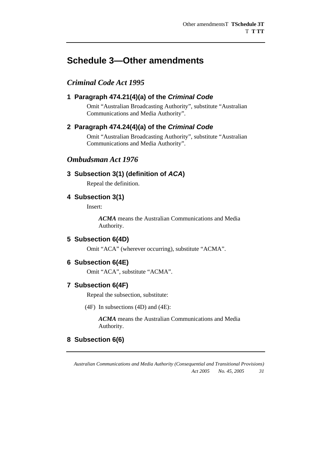## **Schedule 3—Other amendments**

## *Criminal Code Act 1995*

## **1 Paragraph 474.21(4)(a) of the** *Criminal Code*

Omit "Australian Broadcasting Authority", substitute "Australian Communications and Media Authority".

#### **2 Paragraph 474.24(4)(a) of the** *Criminal Code*

Omit "Australian Broadcasting Authority", substitute "Australian Communications and Media Authority".

## *Ombudsman Act 1976*

## **3 Subsection 3(1) (definition of** *ACA***)**

Repeal the definition.

#### **4 Subsection 3(1)**

Insert:

*ACMA* means the Australian Communications and Media Authority.

#### **5 Subsection 6(4D)**

Omit "ACA" (wherever occurring), substitute "ACMA".

#### **6 Subsection 6(4E)**

Omit "ACA", substitute "ACMA".

#### **7 Subsection 6(4F)**

Repeal the subsection, substitute:

(4F) In subsections (4D) and (4E):

*ACMA* means the Australian Communications and Media Authority.

#### **8 Subsection 6(6)**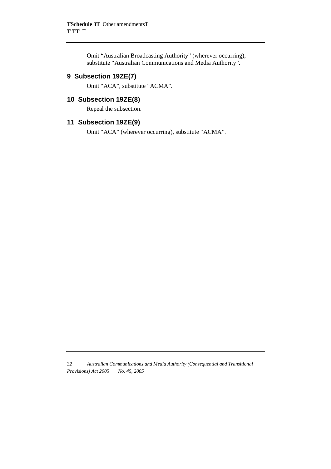Omit "Australian Broadcasting Authority" (wherever occurring), substitute "Australian Communications and Media Authority".

## **9 Subsection 19ZE(7)**

Omit "ACA", substitute "ACMA".

#### **10 Subsection 19ZE(8)**

Repeal the subsection.

## **11 Subsection 19ZE(9)**

Omit "ACA" (wherever occurring), substitute "ACMA".

*<sup>32</sup> Australian Communications and Media Authority (Consequential and Transitional Provisions) Act 2005 No. 45, 2005*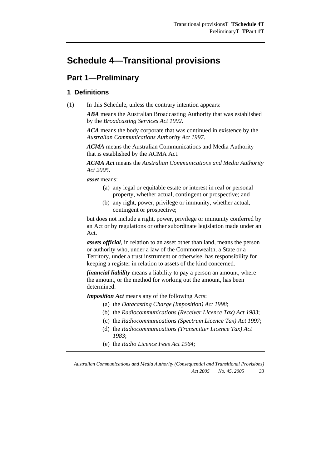## **Schedule 4—Transitional provisions**

## **Part 1—Preliminary**

## **1 Definitions**

(1) In this Schedule, unless the contrary intention appears:

*ABA* means the Australian Broadcasting Authority that was established by the *Broadcasting Services Act 1992*.

*ACA* means the body corporate that was continued in existence by the *Australian Communications Authority Act 1997*.

*ACMA* means the Australian Communications and Media Authority that is established by the ACMA Act.

*ACMA Act* means the *Australian Communications and Media Authority Act 2005*.

*asset* means:

- (a) any legal or equitable estate or interest in real or personal property, whether actual, contingent or prospective; and
- (b) any right, power, privilege or immunity, whether actual, contingent or prospective;

but does not include a right, power, privilege or immunity conferred by an Act or by regulations or other subordinate legislation made under an Act.

*assets official*, in relation to an asset other than land, means the person or authority who, under a law of the Commonwealth, a State or a Territory, under a trust instrument or otherwise, has responsibility for keeping a register in relation to assets of the kind concerned.

*financial liability* means a liability to pay a person an amount, where the amount, or the method for working out the amount, has been determined.

*Imposition Act* means any of the following Acts:

- (a) the *Datacasting Charge (Imposition) Act 1998*;
- (b) the *Radiocommunications (Receiver Licence Tax) Act 1983*;
- (c) the *Radiocommunications (Spectrum Licence Tax) Act 1997*;
- (d) the *Radiocommunications (Transmitter Licence Tax) Act 1983*;
- (e) the *Radio Licence Fees Act 1964*;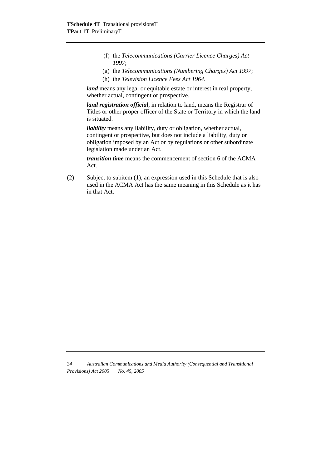- (f) the *Telecommunications (Carrier Licence Charges) Act 1997*;
- (g) the *Telecommunications (Numbering Charges) Act 1997*;
- (h) the *Television Licence Fees Act 1964*.

*land* means any legal or equitable estate or interest in real property, whether actual, contingent or prospective.

*land registration official*, in relation to land, means the Registrar of Titles or other proper officer of the State or Territory in which the land is situated.

*liability* means any liability, duty or obligation, whether actual, contingent or prospective, but does not include a liability, duty or obligation imposed by an Act or by regulations or other subordinate legislation made under an Act.

*transition time* means the commencement of section 6 of the ACMA Act.

(2) Subject to subitem (1), an expression used in this Schedule that is also used in the ACMA Act has the same meaning in this Schedule as it has in that Act.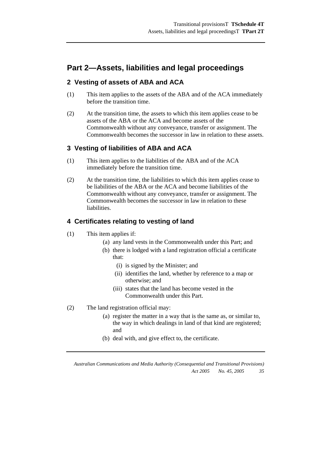## **Part 2—Assets, liabilities and legal proceedings**

## **2 Vesting of assets of ABA and ACA**

- (1) This item applies to the assets of the ABA and of the ACA immediately before the transition time.
- (2) At the transition time, the assets to which this item applies cease to be assets of the ABA or the ACA and become assets of the Commonwealth without any conveyance, transfer or assignment. The Commonwealth becomes the successor in law in relation to these assets.

## **3 Vesting of liabilities of ABA and ACA**

- (1) This item applies to the liabilities of the ABA and of the ACA immediately before the transition time.
- (2) At the transition time, the liabilities to which this item applies cease to be liabilities of the ABA or the ACA and become liabilities of the Commonwealth without any conveyance, transfer or assignment. The Commonwealth becomes the successor in law in relation to these liabilities.

## **4 Certificates relating to vesting of land**

- (1) This item applies if:
	- (a) any land vests in the Commonwealth under this Part; and
		- (b) there is lodged with a land registration official a certificate that:
			- (i) is signed by the Minister; and
			- (ii) identifies the land, whether by reference to a map or otherwise; and
			- (iii) states that the land has become vested in the Commonwealth under this Part.
- (2) The land registration official may:
	- (a) register the matter in a way that is the same as, or similar to, the way in which dealings in land of that kind are registered; and
	- (b) deal with, and give effect to, the certificate.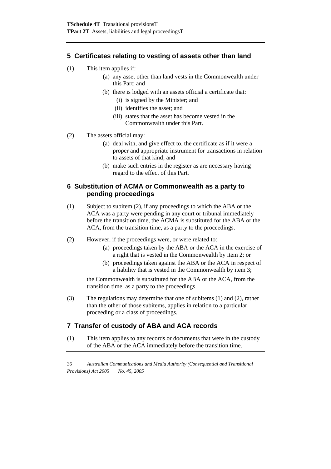## **5 Certificates relating to vesting of assets other than land**

- (1) This item applies if:
	- (a) any asset other than land vests in the Commonwealth under this Part; and
	- (b) there is lodged with an assets official a certificate that:
		- (i) is signed by the Minister; and
		- (ii) identifies the asset; and
		- (iii) states that the asset has become vested in the Commonwealth under this Part.
- (2) The assets official may:
	- (a) deal with, and give effect to, the certificate as if it were a proper and appropriate instrument for transactions in relation to assets of that kind; and
	- (b) make such entries in the register as are necessary having regard to the effect of this Part.

#### **6 Substitution of ACMA or Commonwealth as a party to pending proceedings**

- (1) Subject to subitem (2), if any proceedings to which the ABA or the ACA was a party were pending in any court or tribunal immediately before the transition time, the ACMA is substituted for the ABA or the ACA, from the transition time, as a party to the proceedings.
- (2) However, if the proceedings were, or were related to:
	- (a) proceedings taken by the ABA or the ACA in the exercise of a right that is vested in the Commonwealth by item 2; or
	- (b) proceedings taken against the ABA or the ACA in respect of a liability that is vested in the Commonwealth by item 3;

the Commonwealth is substituted for the ABA or the ACA, from the transition time, as a party to the proceedings.

(3) The regulations may determine that one of subitems (1) and (2), rather than the other of those subitems, applies in relation to a particular proceeding or a class of proceedings.

## **7 Transfer of custody of ABA and ACA records**

(1) This item applies to any records or documents that were in the custody of the ABA or the ACA immediately before the transition time.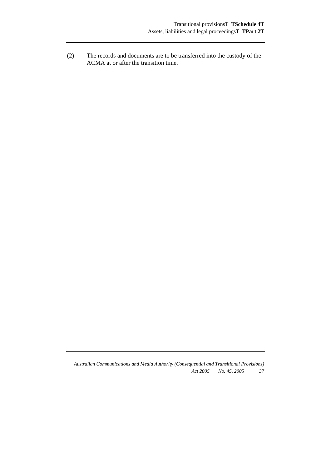(2) The records and documents are to be transferred into the custody of the ACMA at or after the transition time.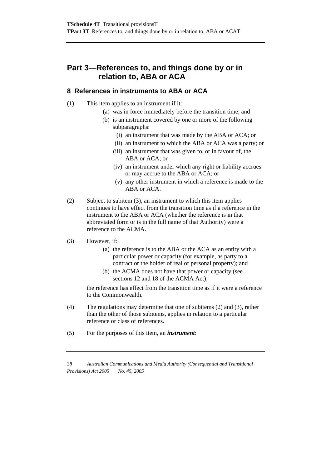## **Part 3—References to, and things done by or in relation to, ABA or ACA**

### **8 References in instruments to ABA or ACA**

#### (1) This item applies to an instrument if it:

- (a) was in force immediately before the transition time; and
- (b) is an instrument covered by one or more of the following subparagraphs:
	- (i) an instrument that was made by the ABA or ACA; or
	- (ii) an instrument to which the ABA or ACA was a party; or
	- (iii) an instrument that was given to, or in favour of, the ABA or ACA; or
	- (iv) an instrument under which any right or liability accrues or may accrue to the ABA or ACA; or
	- (v) any other instrument in which a reference is made to the ABA or ACA.
- (2) Subject to subitem (3), an instrument to which this item applies continues to have effect from the transition time as if a reference in the instrument to the ABA or ACA (whether the reference is in that abbreviated form or is in the full name of that Authority) were a reference to the ACMA.

#### (3) However, if:

- (a) the reference is to the ABA or the ACA as an entity with a particular power or capacity (for example, as party to a contract or the holder of real or personal property); and
- (b) the ACMA does not have that power or capacity (see sections 12 and 18 of the ACMA Act):

the reference has effect from the transition time as if it were a reference to the Commonwealth.

- (4) The regulations may determine that one of subitems (2) and (3), rather than the other of those subitems, applies in relation to a particular reference or class of references.
- (5) For the purposes of this item, an *instrument*: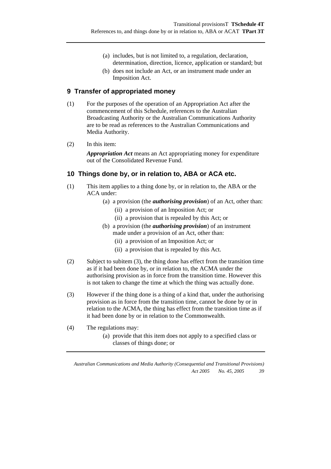- (a) includes, but is not limited to, a regulation, declaration, determination, direction, licence, application or standard; but
- (b) does not include an Act, or an instrument made under an Imposition Act.

## **9 Transfer of appropriated money**

- (1) For the purposes of the operation of an Appropriation Act after the commencement of this Schedule, references to the Australian Broadcasting Authority or the Australian Communications Authority are to be read as references to the Australian Communications and Media Authority.
- (2) In this item:

*Appropriation Act* means an Act appropriating money for expenditure out of the Consolidated Revenue Fund.

## **10 Things done by, or in relation to, ABA or ACA etc.**

- (1) This item applies to a thing done by, or in relation to, the ABA or the ACA under:
	- (a) a provision (the *authorising provision*) of an Act, other than:
		- (ii) a provision of an Imposition Act; or
		- (ii) a provision that is repealed by this Act; or
	- (b) a provision (the *authorising provision*) of an instrument made under a provision of an Act, other than:
		- (ii) a provision of an Imposition Act; or
		- (ii) a provision that is repealed by this Act.
- (2) Subject to subitem (3), the thing done has effect from the transition time as if it had been done by, or in relation to, the ACMA under the authorising provision as in force from the transition time. However this is not taken to change the time at which the thing was actually done.
- (3) However if the thing done is a thing of a kind that, under the authorising provision as in force from the transition time, cannot be done by or in relation to the ACMA, the thing has effect from the transition time as if it had been done by or in relation to the Commonwealth.
- (4) The regulations may:
	- (a) provide that this item does not apply to a specified class or classes of things done; or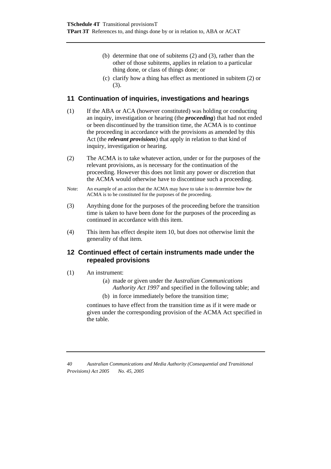- (b) determine that one of subitems (2) and (3), rather than the other of those subitems, applies in relation to a particular thing done, or class of things done; or
- (c) clarify how a thing has effect as mentioned in subitem (2) or (3).

## **11 Continuation of inquiries, investigations and hearings**

- (1) If the ABA or ACA (however constituted) was holding or conducting an inquiry, investigation or hearing (the *proceeding*) that had not ended or been discontinued by the transition time, the ACMA is to continue the proceeding in accordance with the provisions as amended by this Act (the *relevant provisions*) that apply in relation to that kind of inquiry, investigation or hearing.
- (2) The ACMA is to take whatever action, under or for the purposes of the relevant provisions, as is necessary for the continuation of the proceeding. However this does not limit any power or discretion that the ACMA would otherwise have to discontinue such a proceeding.
- Note: An example of an action that the ACMA may have to take is to determine how the ACMA is to be constituted for the purposes of the proceeding.
- (3) Anything done for the purposes of the proceeding before the transition time is taken to have been done for the purposes of the proceeding as continued in accordance with this item.
- (4) This item has effect despite item 10, but does not otherwise limit the generality of that item.

#### **12 Continued effect of certain instruments made under the repealed provisions**

- (1) An instrument:
	- (a) made or given under the *Australian Communications Authority Act 1997* and specified in the following table; and
	- (b) in force immediately before the transition time;

continues to have effect from the transition time as if it were made or given under the corresponding provision of the ACMA Act specified in the table.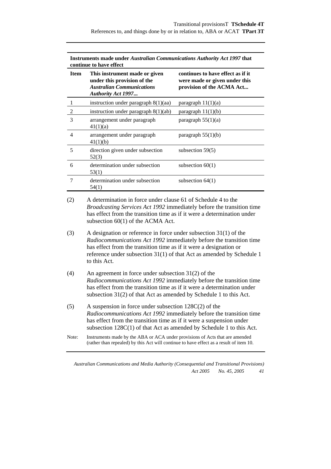| <b>Item</b>    | This instrument made or given<br>under this provision of the<br><b>Australian Communications</b><br><b>Authority Act 1997</b> | continues to have effect as if it<br>were made or given under this<br>provision of the ACMA Act |
|----------------|-------------------------------------------------------------------------------------------------------------------------------|-------------------------------------------------------------------------------------------------|
|                | instruction under paragraph $8(1)(aa)$                                                                                        | paragraph 11(1)(a)                                                                              |
| $\overline{2}$ | instruction under paragraph $8(1)(ab)$                                                                                        | paragraph $11(1)(b)$                                                                            |
| 3              | arrangement under paragraph<br>41(1)(a)                                                                                       | paragraph $55(1)(a)$                                                                            |
| 4              | arrangement under paragraph<br>41(1)(b)                                                                                       | paragraph $55(1)(b)$                                                                            |
| 5              | direction given under subsection<br>52(3)                                                                                     | subsection $59(5)$                                                                              |
| 6              | determination under subsection<br>53(1)                                                                                       | subsection $60(1)$                                                                              |
| 7              | determination under subsection<br>54(1)                                                                                       | subsection $64(1)$                                                                              |

**Instruments made under** *Australian Communications Authority Act 1997* **that** 

(2) A determination in force under clause 61 of Schedule 4 to the *Broadcasting Services Act 1992* immediately before the transition time has effect from the transition time as if it were a determination under subsection 60(1) of the ACMA Act.

- (3) A designation or reference in force under subsection 31(1) of the *Radiocommunications Act 1992* immediately before the transition time has effect from the transition time as if it were a designation or reference under subsection 31(1) of that Act as amended by Schedule 1 to this Act.
- (4) An agreement in force under subsection 31(2) of the *Radiocommunications Act 1992* immediately before the transition time has effect from the transition time as if it were a determination under subsection 31(2) of that Act as amended by Schedule 1 to this Act.
- (5) A suspension in force under subsection 128C(2) of the *Radiocommunications Act 1992* immediately before the transition time has effect from the transition time as if it were a suspension under subsection 128C(1) of that Act as amended by Schedule 1 to this Act.
- Note: Instruments made by the ABA or ACA under provisions of Acts that are amended (rather than repealed) by this Act will continue to have effect as a result of item 10.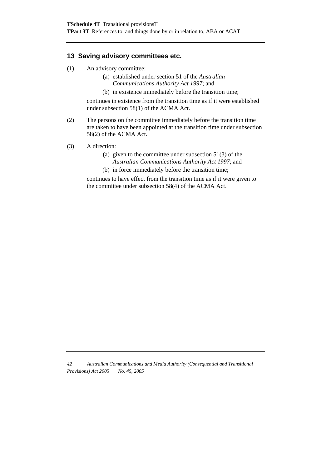## **13 Saving advisory committees etc.**

- (1) An advisory committee:
	- (a) established under section 51 of the *Australian Communications Authority Act 1997*; and
	- (b) in existence immediately before the transition time;

continues in existence from the transition time as if it were established under subsection 58(1) of the ACMA Act.

- (2) The persons on the committee immediately before the transition time are taken to have been appointed at the transition time under subsection 58(2) of the ACMA Act.
- (3) A direction:
	- (a) given to the committee under subsection  $51(3)$  of the *Australian Communications Authority Act 1997*; and
	- (b) in force immediately before the transition time;

continues to have effect from the transition time as if it were given to the committee under subsection 58(4) of the ACMA Act.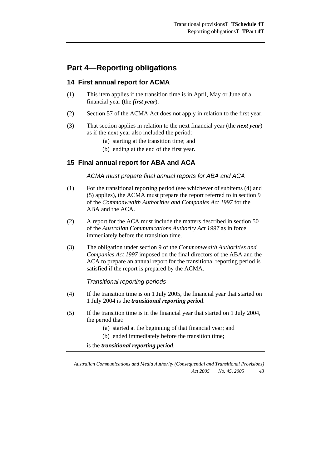## **Part 4—Reporting obligations**

## **14 First annual report for ACMA**

- (1) This item applies if the transition time is in April, May or June of a financial year (the *first year*).
- (2) Section 57 of the ACMA Act does not apply in relation to the first year.
- (3) That section applies in relation to the next financial year (the *next year*) as if the next year also included the period:
	- (a) starting at the transition time; and
	- (b) ending at the end of the first year.

## **15 Final annual report for ABA and ACA**

#### *ACMA must prepare final annual reports for ABA and ACA*

- (1) For the transitional reporting period (see whichever of subitems (4) and (5) applies), the ACMA must prepare the report referred to in section 9 of the *Commonwealth Authorities and Companies Act 1997* for the ABA and the ACA.
- (2) A report for the ACA must include the matters described in section 50 of the *Australian Communications Authority Act 1997* as in force immediately before the transition time.
- (3) The obligation under section 9 of the *Commonwealth Authorities and Companies Act 1997* imposed on the final directors of the ABA and the ACA to prepare an annual report for the transitional reporting period is satisfied if the report is prepared by the ACMA.

#### *Transitional reporting periods*

- (4) If the transition time is on 1 July 2005, the financial year that started on 1 July 2004 is the *transitional reporting period*.
- (5) If the transition time is in the financial year that started on 1 July 2004, the period that:
	- (a) started at the beginning of that financial year; and
	- (b) ended immediately before the transition time;

is the *transitional reporting period*.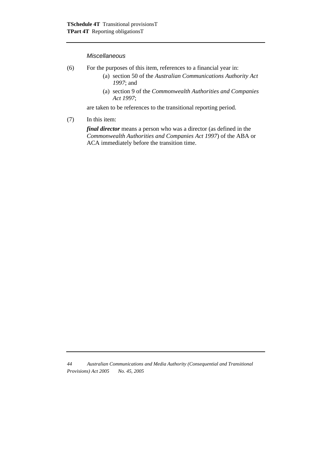#### *Miscellaneous*

- (6) For the purposes of this item, references to a financial year in:
	- (a) section 50 of the *Australian Communications Authority Act 1997*; and
	- (a) section 9 of the *Commonwealth Authorities and Companies Act 1997*;

are taken to be references to the transitional reporting period.

(7) In this item:

*final director* means a person who was a director (as defined in the *Commonwealth Authorities and Companies Act 1997*) of the ABA or ACA immediately before the transition time.

*<sup>44</sup> Australian Communications and Media Authority (Consequential and Transitional Provisions) Act 2005 No. 45, 2005*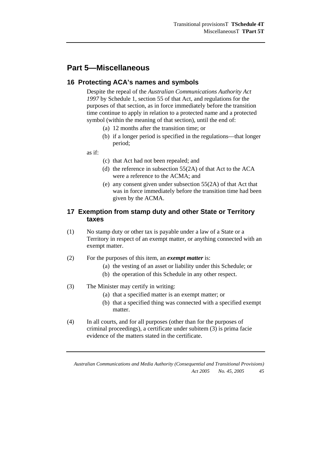## **Part 5—Miscellaneous**

## **16 Protecting ACA's names and symbols**

Despite the repeal of the *Australian Communications Authority Act 1997* by Schedule 1, section 55 of that Act, and regulations for the purposes of that section, as in force immediately before the transition time continue to apply in relation to a protected name and a protected symbol (within the meaning of that section), until the end of:

- (a) 12 months after the transition time; or
- (b) if a longer period is specified in the regulations—that longer period;

as if:

- (c) that Act had not been repealed; and
- (d) the reference in subsection 55(2A) of that Act to the ACA were a reference to the ACMA; and
- (e) any consent given under subsection 55(2A) of that Act that was in force immediately before the transition time had been given by the ACMA.

## **17 Exemption from stamp duty and other State or Territory taxes**

- (1) No stamp duty or other tax is payable under a law of a State or a Territory in respect of an exempt matter, or anything connected with an exempt matter.
- (2) For the purposes of this item, an *exempt matter* is:
	- (a) the vesting of an asset or liability under this Schedule; or
	- (b) the operation of this Schedule in any other respect.
- (3) The Minister may certify in writing:
	- (a) that a specified matter is an exempt matter; or
	- (b) that a specified thing was connected with a specified exempt matter.
- (4) In all courts, and for all purposes (other than for the purposes of criminal proceedings), a certificate under subitem (3) is prima facie evidence of the matters stated in the certificate.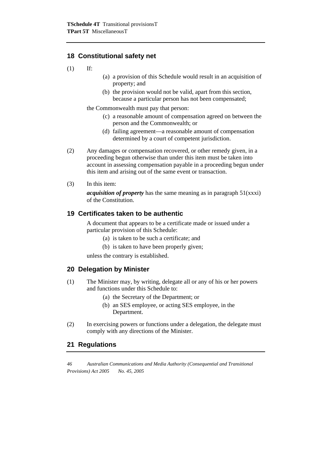## **18 Constitutional safety net**

(1) If:

- (a) a provision of this Schedule would result in an acquisition of property; and
- (b) the provision would not be valid, apart from this section, because a particular person has not been compensated;

the Commonwealth must pay that person:

- (c) a reasonable amount of compensation agreed on between the person and the Commonwealth; or
- (d) failing agreement—a reasonable amount of compensation determined by a court of competent jurisdiction.
- (2) Any damages or compensation recovered, or other remedy given, in a proceeding begun otherwise than under this item must be taken into account in assessing compensation payable in a proceeding begun under this item and arising out of the same event or transaction.
- (3) In this item:

*acquisition of property* has the same meaning as in paragraph 51(xxxi) of the Constitution.

## **19 Certificates taken to be authentic**

A document that appears to be a certificate made or issued under a particular provision of this Schedule:

- (a) is taken to be such a certificate; and
- (b) is taken to have been properly given;

unless the contrary is established.

#### **20 Delegation by Minister**

- (1) The Minister may, by writing, delegate all or any of his or her powers and functions under this Schedule to:
	- (a) the Secretary of the Department; or
	- (b) an SES employee, or acting SES employee, in the Department.
- (2) In exercising powers or functions under a delegation, the delegate must comply with any directions of the Minister.

#### **21 Regulations**